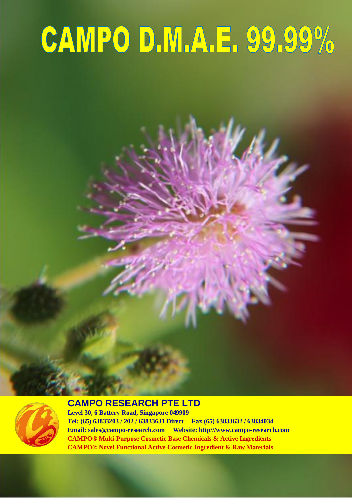# CAMPO D.M.A.E. 99.99%



#### **CAMPO RESEARCH PTE LTD**

**CAMPO® Multi-Purpose Cosmetic Base Chemicals & Active Ingredients Level 30, 6 Battery Road, Singapore 049909 Tel: (65) 63833203 / 202 / 63833631 Direct Fax (65) 63833632 / 63834034 Email: sales@campo-research.com Website: http///www.campo-research.com CAMPO® Novel Functional Active Cosmetic Ingredient & Raw Materials**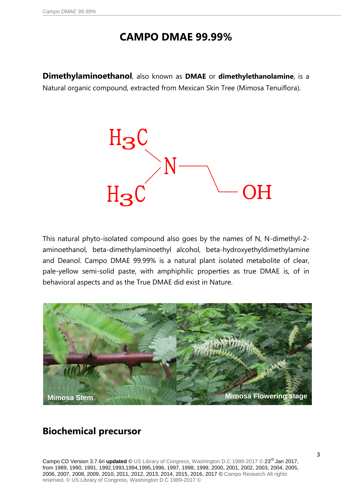## **CAMPO DMAE 99.99%**

**Dimethylaminoethanol**, also known as **DMAE** or **dimethylethanolamine**, is a Natural organic compound, extracted from Mexican Skin Tree (Mimosa Tenuiflora).



This natural phyto-isolated compound also goes by the names of N, N-dimethyl-2 aminoethanol, beta-dimethylaminoethyl alcohol, beta-hydroxyethyldimethylamine and Deanol. Campo DMAE 99.99% is a natural plant isolated metabolite of clear, pale-yellow semi-solid paste, with amphiphilic properties as true DMAE is, of in behavioral aspects and as the True DMAE did exist in Nature.



#### **Biochemical precursor**

Campo CD Version 3.7.6ri updated © US Library of Congress, Washington D.C 1989-2017 © 23<sup>rd</sup> Jan 2017, from 1989, 1990, 1991, 1992,1993,1994,1995,1996, 1997, 1998, 1999, 2000, 2001, 2002, 2003, 2004, 2005, 2006, 2007, 2008, 2009, 2010, 2011, 2012, 2013, 2014, 2015, 2016, 2017 © Campo Research All rights reserved. © US Library of Congress, Washington D.C 1989-2017 ©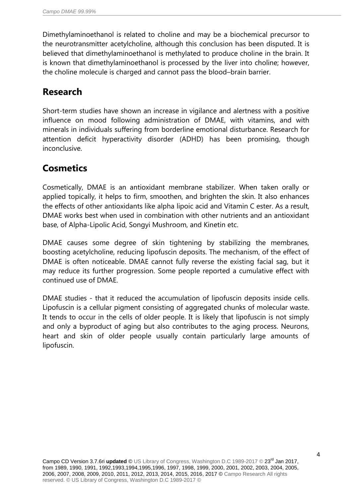Dimethylaminoethanol is related to choline and may be a biochemical precursor to the neurotransmitter acetylcholine, although this conclusion has been disputed. It is believed that dimethylaminoethanol is methylated to produce choline in the brain. It is known that dimethylaminoethanol is processed by the liver into choline; however, the choline molecule is charged and cannot pass the blood–brain barrier.

#### **Research**

Short-term studies have shown an increase in vigilance and alertness with a positive influence on mood following administration of DMAE, with vitamins, and with minerals in individuals suffering from borderline emotional disturbance. Research for attention deficit hyperactivity disorder (ADHD) has been promising, though inconclusive.

## **Cosmetics**

Cosmetically, DMAE is an antioxidant membrane stabilizer. When taken orally or applied topically, it helps to firm, smoothen, and brighten the skin. It also enhances the effects of other antioxidants like alpha lipoic acid and Vitamin C ester. As a result, DMAE works best when used in combination with other nutrients and an antioxidant base, of Alpha-Lipolic Acid, Songyi Mushroom, and Kinetin etc.

DMAE causes some degree of skin tightening by stabilizing the membranes, boosting acetylcholine, reducing lipofuscin deposits. The mechanism, of the effect of DMAE is often noticeable. DMAE cannot fully reverse the existing facial sag, but it may reduce its further progression. Some people reported a cumulative effect with continued use of DMAE.

DMAE studies - that it reduced the accumulation of lipofuscin deposits inside cells. Lipofuscin is a cellular pigment consisting of aggregated chunks of molecular waste. It tends to occur in the cells of older people. It is likely that lipofuscin is not simply and only a byproduct of aging but also contributes to the aging process. Neurons, heart and skin of older people usually contain particularly large amounts of lipofuscin.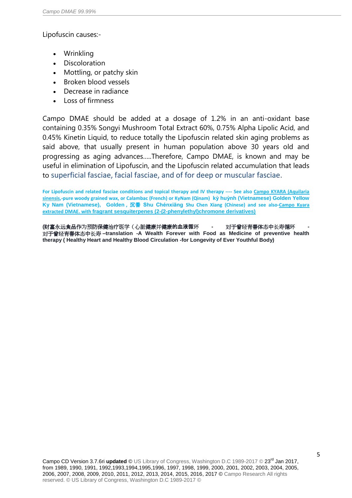#### Lipofuscin causes:-

- Wrinkling
- Discoloration
- Mottling, or patchy skin
- Broken blood vessels
- Decrease in radiance
- Loss of firmness

Campo DMAE should be added at a dosage of 1.2% in an anti-oxidant base containing 0.35% Songyi Mushroom Total Extract 60%, 0.75% Alpha Lipolic Acid, and 0.45% Kinetin Liquid, to reduce totally the Lipofuscin related skin aging problems as said above, that usually present in human population above 30 years old and progressing as aging advances…..Therefore, Campo DMAE, is known and may be useful in elimination of Lipofuscin, and the Lipofuscin related accumulation that leads to superficial fasciae, facial fasciae, and of for deep or muscular fasciae.

**For Lipofuscin and related fasciae conditions and topical therapy and IV therapy ---- See also Campo KYARA (Aquilaria sinensis,-pure woody grained wax, or Calambac (French) or KyNam (Qinam) kỳ huỳnh (Vietnamese) Golden Yellow Ky Nam (Vietnamese), Golden ,** 沉香 **Shu Chénxiāng Shu Chen Xiang (Chinese) and see also-Campo Kyara extracted DMAE. with fragrant sesquiterpenes (2-(2-phenylethyl)chromone derivatives)**

**(**财富永远食品作为预防保健治疗医学(心脏健康并健康的血液循环 **-** 对于曾经青春体态中长寿循环 **-** 对于曾经青春体态中长寿 **–translation -A Wealth Forever with Food as Medicine of preventive health therapy ( Healthy Heart and Healthy Blood Circulation -for Longevity of Ever Youthful Body)**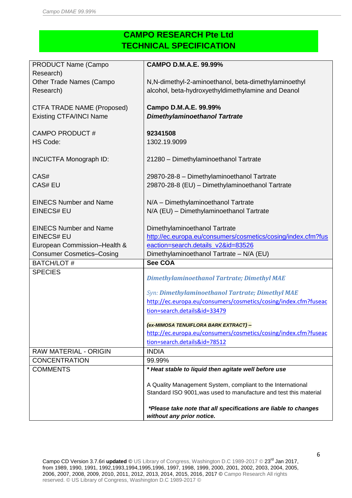#### **CAMPO RESEARCH Pte Ltd TECHNICAL SPECIFICATION**

| PRODUCT Name (Campo              | <b>CAMPO D.M.A.E. 99.99%</b>                                      |  |  |
|----------------------------------|-------------------------------------------------------------------|--|--|
| Research)                        |                                                                   |  |  |
| Other Trade Names (Campo         | N,N-dimethyl-2-aminoethanol, beta-dimethylaminoethyl              |  |  |
| Research)                        | alcohol, beta-hydroxyethyldimethylamine and Deanol                |  |  |
|                                  |                                                                   |  |  |
| CTFA TRADE NAME (Proposed)       | Campo D.M.A.E. 99.99%                                             |  |  |
| <b>Existing CTFA/INCI Name</b>   | <b>Dimethylaminoethanol Tartrate</b>                              |  |  |
|                                  |                                                                   |  |  |
| <b>CAMPO PRODUCT#</b>            | 92341508                                                          |  |  |
| HS Code:                         | 1302.19.9099                                                      |  |  |
|                                  |                                                                   |  |  |
| INCI/CTFA Monograph ID:          | 21280 - Dimethylaminoethanol Tartrate                             |  |  |
|                                  |                                                                   |  |  |
| CAS#                             | 29870-28-8 - Dimethylaminoethanol Tartrate                        |  |  |
| <b>CAS# EU</b>                   | 29870-28-8 (EU) - Dimethylaminoethanol Tartrate                   |  |  |
|                                  |                                                                   |  |  |
| <b>EINECS Number and Name</b>    | N/A - Dimethylaminoethanol Tartrate                               |  |  |
| <b>EINECS# EU</b>                | N/A (EU) - Dimethylaminoethanol Tartrate                          |  |  |
|                                  |                                                                   |  |  |
| <b>EINECS Number and Name</b>    | Dimethylaminoethanol Tartrate                                     |  |  |
| <b>EINECS# EU</b>                | http://ec.europa.eu/consumers/cosmetics/cosing/index.cfm?fus      |  |  |
| European Commission-Health &     | eaction=search.details_v2&id=83526                                |  |  |
| <b>Consumer Cosmetics-Cosing</b> | Dimethylaminoethanol Tartrate - N/A (EU)                          |  |  |
| <b>BATCH/LOT#</b>                | <b>See COA</b>                                                    |  |  |
| <b>SPECIES</b>                   |                                                                   |  |  |
|                                  | <b>Dimethylaminoethanol Tartrate; Dimethyl MAE</b>                |  |  |
|                                  | Syn: Dimethylaminoethanol Tartrate; Dimethyl MAE                  |  |  |
|                                  | http://ec.europa.eu/consumers/cosmetics/cosing/index.cfm?fuseac   |  |  |
|                                  | tion=search.details&id=33479                                      |  |  |
|                                  |                                                                   |  |  |
|                                  | (ex-MIMOSA TENUIFLORA BARK EXTRACT) -                             |  |  |
|                                  | http://ec.europa.eu/consumers/cosmetics/cosing/index.cfm?fuseac   |  |  |
|                                  | tion=search.details&id=78512                                      |  |  |
| RAW MATERIAL - ORIGIN            | <b>INDIA</b>                                                      |  |  |
| <b>CONCENTRATION</b>             | 99.99%                                                            |  |  |
| <b>COMMENTS</b>                  | * Heat stable to liquid then agitate well before use              |  |  |
|                                  |                                                                   |  |  |
|                                  | A Quality Management System, compliant to the International       |  |  |
|                                  | Standard ISO 9001, was used to manufacture and test this material |  |  |
|                                  |                                                                   |  |  |
|                                  | *Please take note that all specifications are liable to changes   |  |  |
|                                  | without any prior notice.                                         |  |  |